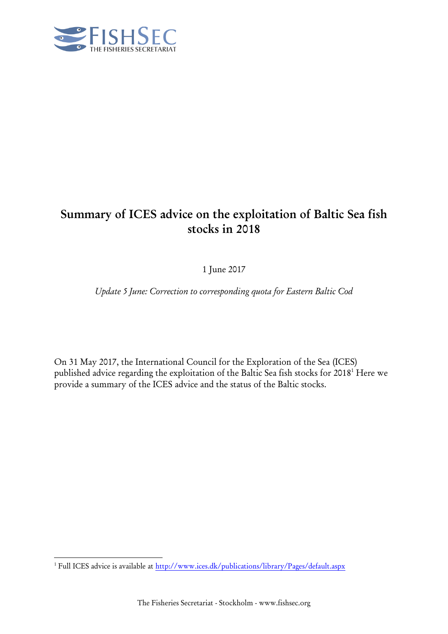

# **Summary of ICES advice on the exploitation of Baltic Sea fish stocks in 2018**

1 June 2017

*Update 5 June: Correction to corresponding quota for Eastern Baltic Cod*

On 31 May 2017, the International Council for the Exploration of the Sea (ICES) published advice regarding the exploitation of the Baltic Sea fish stocks for 2018 <sup>1</sup> Here we provide a summary of the ICES advice and the status of the Baltic stocks.

-

<sup>&</sup>lt;sup>1</sup> Full ICES advice is available at<http://www.ices.dk/publications/library/Pages/default.aspx>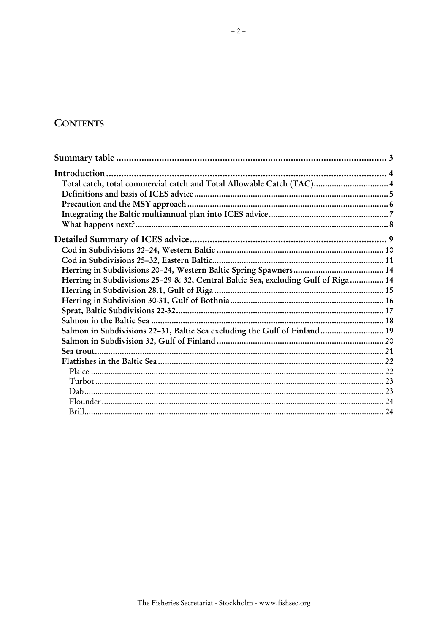## **CONTENTS**

| Total catch, total commercial catch and Total Allowable Catch (TAC) 4             |  |
|-----------------------------------------------------------------------------------|--|
|                                                                                   |  |
|                                                                                   |  |
|                                                                                   |  |
|                                                                                   |  |
|                                                                                   |  |
|                                                                                   |  |
|                                                                                   |  |
|                                                                                   |  |
| Herring in Subdivisions 25-29 & 32, Central Baltic Sea, excluding Gulf of Riga 14 |  |
|                                                                                   |  |
|                                                                                   |  |
|                                                                                   |  |
|                                                                                   |  |
| Salmon in Subdivisions 22-31, Baltic Sea excluding the Gulf of Finland 19         |  |
|                                                                                   |  |
|                                                                                   |  |
|                                                                                   |  |
|                                                                                   |  |
|                                                                                   |  |
|                                                                                   |  |
|                                                                                   |  |
|                                                                                   |  |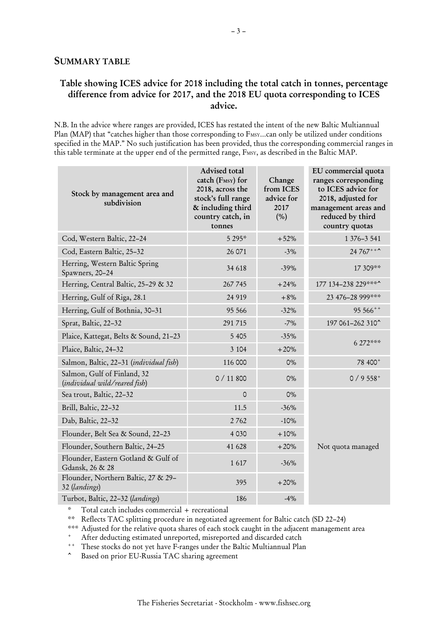#### <span id="page-2-0"></span>**Table showing ICES advice for 2018 including the total catch in tonnes, percentage difference from advice for 2017, and the 2018 EU quota corresponding to ICES advice.**

N.B. In the advice where ranges are provided, ICES has restated the intent of the new Baltic Multiannual Plan (MAP) that "catches higher than those corresponding to FMSY...can only be utilized under conditions specified in the MAP." No such justification has been provided, thus the corresponding commercial ranges in this table terminate at the upper end of the permitted range, FMSY, as described in the Baltic MAP.

| Stock by management area and<br>subdivision                  | Advised total<br>catch (FMSY) for<br>2018, across the<br>stock's full range<br>& including third<br>country catch, in<br>tonnes | Change<br>from ICES<br>advice for<br>2017<br>(% ) | EU commercial quota<br>ranges corresponding<br>to ICES advice for<br>2018, adjusted for<br>management areas and<br>reduced by third<br>country quotas |  |
|--------------------------------------------------------------|---------------------------------------------------------------------------------------------------------------------------------|---------------------------------------------------|-------------------------------------------------------------------------------------------------------------------------------------------------------|--|
| Cod, Western Baltic, 22-24                                   | 5 295*                                                                                                                          | $+52%$                                            | 1 376-3 541                                                                                                                                           |  |
| Cod, Eastern Baltic, 25-32                                   | 26 071                                                                                                                          | $-3%$                                             | 24 767 ***                                                                                                                                            |  |
| Herring, Western Baltic Spring<br>Spawners, 20-24            | 34 618                                                                                                                          | $-39%$                                            | 17 309**                                                                                                                                              |  |
| Herring, Central Baltic, 25-29 & 32                          | 267745                                                                                                                          | $+24%$                                            | 177 134-238 229***^                                                                                                                                   |  |
| Herring, Gulf of Riga, 28.1                                  | 24 9 19                                                                                                                         | $+8%$                                             | 23 476-28 999***                                                                                                                                      |  |
| Herring, Gulf of Bothnia, 30-31                              | 95 566                                                                                                                          | $-32%$                                            | 95 566++                                                                                                                                              |  |
| Sprat, Baltic, 22-32                                         | 291715                                                                                                                          | $-7%$                                             | 197 061-262 310^                                                                                                                                      |  |
| Plaice, Kattegat, Belts & Sound, 21-23                       | 5 4 0 5                                                                                                                         | $-35%$                                            | 6 272***                                                                                                                                              |  |
| Plaice, Baltic, 24-32                                        | 3 1 0 4                                                                                                                         | $+20%$                                            |                                                                                                                                                       |  |
| Salmon, Baltic, 22-31 (individual fish)                      | 116 000                                                                                                                         | 0%                                                | 78 400 <sup>+</sup>                                                                                                                                   |  |
| Salmon, Gulf of Finland, 32<br>(individual wild/reared fish) | 0 / 11800                                                                                                                       | 0%                                                | $0/9558$ <sup>+</sup>                                                                                                                                 |  |
| Sea trout, Baltic, 22-32                                     | 0                                                                                                                               | 0%                                                |                                                                                                                                                       |  |
| Brill, Baltic, 22-32                                         | 11.5                                                                                                                            | $-36%$                                            | Not quota managed                                                                                                                                     |  |
| Dab, Baltic, 22-32                                           | 2762                                                                                                                            | $-10%$                                            |                                                                                                                                                       |  |
| Flounder, Belt Sea & Sound, 22-23                            | 4 0 3 0                                                                                                                         | $+10%$                                            |                                                                                                                                                       |  |
| Flounder, Southern Baltic, 24-25                             | 41 628                                                                                                                          | $+20%$                                            |                                                                                                                                                       |  |
| Flounder, Eastern Gotland & Gulf of<br>Gdansk, 26 & 28       | 1617                                                                                                                            | $-36%$                                            |                                                                                                                                                       |  |
| Flounder, Northern Baltic, 27 & 29-<br>32 (landings)         | 395                                                                                                                             | $+20%$                                            |                                                                                                                                                       |  |
| Turbot, Baltic, 22-32 (landings)                             | 186                                                                                                                             | $-4%$                                             |                                                                                                                                                       |  |

\* Total catch includes commercial + recreational

\*\* Reflects TAC splitting procedure in negotiated agreement for Baltic catch (SD 22–24)

\*\*\* Adjusted for the relative quota shares of each stock caught in the adjacent management area

After deducting estimated unreported, misreported and discarded catch

++ These stocks do not yet have F-ranges under the Baltic Multiannual Plan

^ Based on prior EU-Russia TAC sharing agreement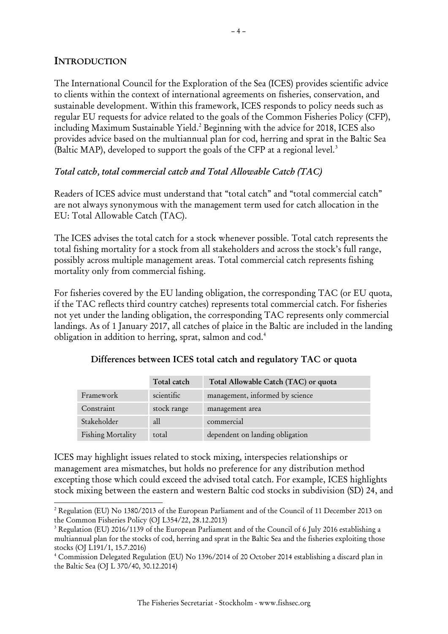## <span id="page-3-0"></span>**INTRODUCTION**

-

The International Council for the Exploration of the Sea (ICES) provides scientific advice to clients within the context of international agreements on fisheries, conservation, and sustainable development. Within this framework, ICES responds to policy needs such as regular EU requests for advice related to the goals of the Common Fisheries Policy (CFP), including Maximum Sustainable Yield. <sup>2</sup> Beginning with the advice for 2018, ICES also provides advice based on the multiannual plan for cod, herring and sprat in the Baltic Sea (Baltic MAP), developed to support the goals of the CFP at a regional level.<sup>3</sup>

## <span id="page-3-1"></span>*Total catch, total commercial catch and Total Allowable Catch (TAC)*

Readers of ICES advice must understand that "total catch" and "total commercial catch" are not always synonymous with the management term used for catch allocation in the EU: Total Allowable Catch (TAC).

The ICES advises the total catch for a stock whenever possible. Total catch represents the total fishing mortality for a stock from all stakeholders and across the stock's full range, possibly across multiple management areas. Total commercial catch represents fishing mortality only from commercial fishing.

For fisheries covered by the EU landing obligation, the corresponding TAC (or EU quota, if the TAC reflects third country catches) represents total commercial catch. For fisheries not yet under the landing obligation, the corresponding TAC represents only commercial landings. As of 1 January 2017, all catches of plaice in the Baltic are included in the landing obligation in addition to herring, sprat, salmon and cod.<sup>4</sup>

|                   | Total catch | Total Allowable Catch (TAC) or quota |
|-------------------|-------------|--------------------------------------|
| Framework         | scientific  | management, informed by science      |
| Constraint        | stock range | management area                      |
| Stakeholder       | all         | commercial                           |
| Fishing Mortality | total       | dependent on landing obligation      |

#### **Differences between ICES total catch and regulatory TAC or quota**

ICES may highlight issues related to stock mixing, interspecies relationships or management area mismatches, but holds no preference for any distribution method excepting those which could exceed the advised total catch. For example, ICES highlights stock mixing between the eastern and western Baltic cod stocks in subdivision (SD) 24, and

<sup>2</sup> Regulation (EU) No 1380/2013 of the European Parliament and of the Council of 11 December 2013 on the Common Fisheries Policy (OJ L354/22, 28.12.2013)

<sup>3</sup> Regulation (EU) 2016/1139 of the European Parliament and of the Council of 6 July 2016 establishing a multiannual plan for the stocks of cod, herring and sprat in the Baltic Sea and the fisheries exploiting those stocks (OJ L191/1, 15.7.2016)

<sup>4</sup> Commission Delegated Regulation (EU) No 1396/2014 of 20 October 2014 establishing a discard plan in the Baltic Sea (OJ L 370/40, 30.12.2014)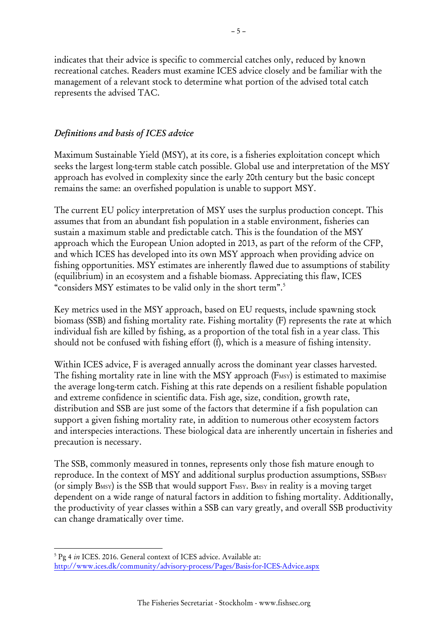indicates that their advice is specific to commercial catches only, reduced by known recreational catches. Readers must examine ICES advice closely and be familiar with the management of a relevant stock to determine what portion of the advised total catch represents the advised TAC.

## <span id="page-4-0"></span>*Definitions and basis of ICES advice*

Maximum Sustainable Yield (MSY), at its core, is a fisheries exploitation concept which seeks the largest long-term stable catch possible. Global use and interpretation of the MSY approach has evolved in complexity since the early 20th century but the basic concept remains the same: an overfished population is unable to support MSY.

The current EU policy interpretation of MSY uses the surplus production concept. This assumes that from an abundant fish population in a stable environment, fisheries can sustain a maximum stable and predictable catch. This is the foundation of the MSY approach which the European Union adopted in 2013, as part of the reform of the CFP, and which ICES has developed into its own MSY approach when providing advice on fishing opportunities. MSY estimates are inherently flawed due to assumptions of stability (equilibrium) in an ecosystem and a fishable biomass. Appreciating this flaw, ICES "considers MSY estimates to be valid only in the short term".<sup>5</sup>

Key metrics used in the MSY approach, based on EU requests, include spawning stock biomass (SSB) and fishing mortality rate. Fishing mortality (F) represents the rate at which individual fish are killed by fishing, as a proportion of the total fish in a year class. This should not be confused with fishing effort (f), which is a measure of fishing intensity.

Within ICES advice, F is averaged annually across the dominant year classes harvested. The fishing mortality rate in line with the MSY approach (F<sub>MSY</sub>) is estimated to maximise the average long-term catch. Fishing at this rate depends on a resilient fishable population and extreme confidence in scientific data. Fish age, size, condition, growth rate, distribution and SSB are just some of the factors that determine if a fish population can support a given fishing mortality rate, in addition to numerous other ecosystem factors and interspecies interactions. These biological data are inherently uncertain in fisheries and precaution is necessary.

The SSB, commonly measured in tonnes, represents only those fish mature enough to reproduce. In the context of MSY and additional surplus production assumptions, SSBMSY (or simply  $B$ <sub>MSY</sub>) is the SSB that would support  $F$ <sub>MSY</sub>. B<sub>MSY</sub> in reality is a moving target dependent on a wide range of natural factors in addition to fishing mortality. Additionally, the productivity of year classes within a SSB can vary greatly, and overall SSB productivity can change dramatically over time.

-

<sup>5</sup> Pg 4 *in* ICES. 2016. General context of ICES advice. Available at: <http://www.ices.dk/community/advisory-process/Pages/Basis-for-ICES-Advice.aspx>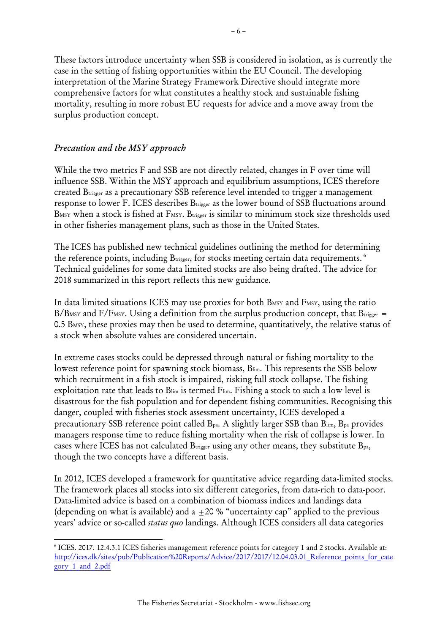These factors introduce uncertainty when SSB is considered in isolation, as is currently the case in the setting of fishing opportunities within the EU Council. The developing interpretation of the Marine Strategy Framework Directive should integrate more comprehensive factors for what constitutes a healthy stock and sustainable fishing mortality, resulting in more robust EU requests for advice and a move away from the surplus production concept.

### <span id="page-5-0"></span>*Precaution and the MSY approach*

1

While the two metrics F and SSB are not directly related, changes in F over time will influence SSB. Within the MSY approach and equilibrium assumptions, ICES therefore created Btrigger as a precautionary SSB reference level intended to trigger a management response to lower F. ICES describes Brigger as the lower bound of SSB fluctuations around BMSY when a stock is fished at FMSY. Btrigger is similar to minimum stock size thresholds used in other fisheries management plans, such as those in the United States.

The ICES has published new technical guidelines outlining the method for determining the reference points, including  ${\rm B_{trigger}}$ , for stocks meeting certain data requirements.  $^6$ Technical guidelines for some data limited stocks are also being drafted. The advice for 2018 summarized in this report reflects this new guidance.

In data limited situations ICES may use proxies for both BMSY and FMSY, using the ratio  $B/B$ MSY and  $F/F$ MSY. Using a definition from the surplus production concept, that  $B_{trigger}$  = 0.5 B<sub>MSY</sub>, these proxies may then be used to determine, quantitatively, the relative status of a stock when absolute values are considered uncertain.

In extreme cases stocks could be depressed through natural or fishing mortality to the lowest reference point for spawning stock biomass, Blim. This represents the SSB below which recruitment in a fish stock is impaired, risking full stock collapse. The fishing exploitation rate that leads to B<sup>lim</sup> is termed Flim. Fishing a stock to such a low level is disastrous for the fish population and for dependent fishing communities. Recognising this danger, coupled with fisheries stock assessment uncertainty, ICES developed a precautionary SSB reference point called  $B_{pa}$ . A slightly larger SSB than  $B_{lim}$ ,  $B_{pa}$  provides managers response time to reduce fishing mortality when the risk of collapse is lower. In cases where ICES has not calculated  $B_{\text{trigger}}$  using any other means, they substitute  $B_{\text{pa}}$ , though the two concepts have a different basis.

In 2012, ICES developed a framework for quantitative advice regarding data-limited stocks. The framework places all stocks into six different categories, from data-rich to data-poor. Data-limited advice is based on a combination of biomass indices and landings data (depending on what is available) and a  $\pm 20$  % "uncertainty cap" applied to the previous years' advice or so-called *status quo* landings. Although ICES considers all data categories

<sup>6</sup> ICES. 2017. 12.4.3.1 ICES fisheries management reference points for category 1 and 2 stocks. Available at: [http://ices.dk/sites/pub/Publication%20Reports/Advice/2017/2017/12.04.03.01\\_Reference\\_points\\_for\\_cate](http://ices.dk/sites/pub/Publication%20Reports/Advice/2017/2017/12.04.03.01_Reference_points_for_category_1_and_2.pdf) [gory\\_1\\_and\\_2.pdf](http://ices.dk/sites/pub/Publication%20Reports/Advice/2017/2017/12.04.03.01_Reference_points_for_category_1_and_2.pdf)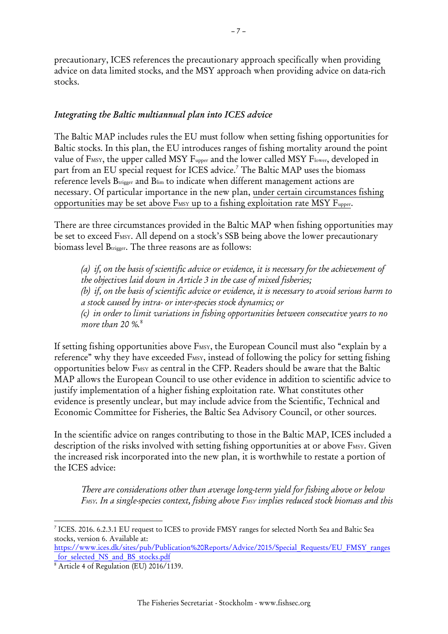precautionary, ICES references the precautionary approach specifically when providing advice on data limited stocks, and the MSY approach when providing advice on data-rich stocks.

#### <span id="page-6-0"></span>*Integrating the Baltic multiannual plan into ICES advice*

The Baltic MAP includes rules the EU must follow when setting fishing opportunities for Baltic stocks. In this plan, the EU introduces ranges of fishing mortality around the point value of FMSY, the upper called MSY Fupper and the lower called MSY Flower, developed in part from an EU special request for ICES advice.<sup>7</sup> The Baltic MAP uses the biomass reference levels Btrigger and Blim to indicate when different management actions are necessary. Of particular importance in the new plan, under certain circumstances fishing opportunities may be set above FMSY up to a fishing exploitation rate MSY Fupper.

There are three circumstances provided in the Baltic MAP when fishing opportunities may be set to exceed F<sub>MSY</sub>. All depend on a stock's SSB being above the lower precautionary biomass level  $B_{trigger}$ . The three reasons are as follows:

*(a) if, on the basis of scientific advice or evidence, it is necessary for the achievement of the objectives laid down in Article 3 in the case of mixed fisheries; (b) if, on the basis of scientific advice or evidence, it is necessary to avoid serious harm to a stock caused by intra- or inter-species stock dynamics; or (c) in order to limit variations in fishing opportunities between consecutive years to no more than 20 %.*<sup>8</sup>

If setting fishing opportunities above F<sub>MSY</sub>, the European Council must also "explain by a reference" why they have exceeded F<sub>MSY</sub>, instead of following the policy for setting fishing opportunities below FMSY as central in the CFP. Readers should be aware that the Baltic MAP allows the European Council to use other evidence in addition to scientific advice to justify implementation of a higher fishing exploitation rate. What constitutes other evidence is presently unclear, but may include advice from the Scientific, Technical and Economic Committee for Fisheries, the Baltic Sea Advisory Council, or other sources.

In the scientific advice on ranges contributing to those in the Baltic MAP, ICES included a description of the risks involved with setting fishing opportunities at or above FMSY. Given the increased risk incorporated into the new plan, it is worthwhile to restate a portion of the ICES advice:

*There are considerations other than average long-term yield for fishing above or below FMSY. In a single-species context, fishing above FMSY implies reduced stock biomass and this* 

[https://www.ices.dk/sites/pub/Publication%20Reports/Advice/2015/Special\\_Requests/EU\\_FMSY\\_ranges](https://www.ices.dk/sites/pub/Publication%20Reports/Advice/2015/Special_Requests/EU_FMSY_ranges_for_selected_NS_and_BS_stocks.pdf) for selected NS and BS stocks.pdf

<sup>1</sup> 7 ICES. 2016. 6.2.3.1 EU request to ICES to provide FMSY ranges for selected North Sea and Baltic Sea stocks, version 6. Available at:

<sup>&</sup>lt;sup>8</sup> Article 4 of Regulation (EU) 2016/1139.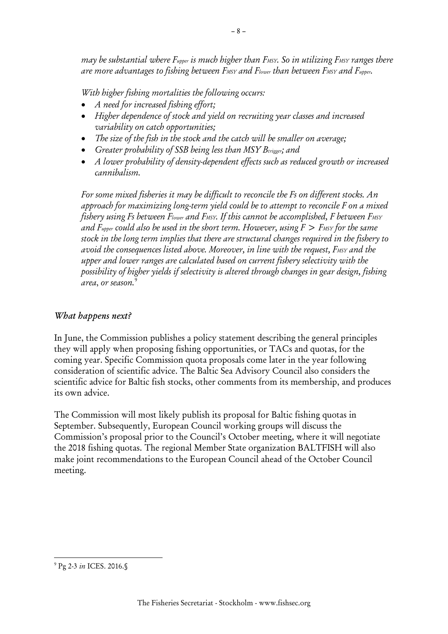*may be substantial where Fupper is much higher than FMSY. So in utilizing FMSY ranges there are more advantages to fishing between FMSY and Flower than between FMSY and Fupper.* 

– 8 –

*With higher fishing mortalities the following occurs:* 

- *A need for increased fishing effort;*
- *Higher dependence of stock and yield on recruiting year classes and increased variability on catch opportunities;*
- *The size of the fish in the stock and the catch will be smaller on average;*
- *Greater probability of SSB being less than MSY Btrigger; and*
- *A lower probability of density-dependent effects such as reduced growth or increased cannibalism.*

*For some mixed fisheries it may be difficult to reconcile the Fs on different stocks. An approach for maximizing long-term yield could be to attempt to reconcile F on a mixed fishery using Fs between Flower and FMSY. If this cannot be accomplished, F between FMSY and F<sub>upper</sub>* could also be used in the short term. However, using  $F > F$ MSY for the same *stock in the long term implies that there are structural changes required in the fishery to avoid the consequences listed above. Moreover, in line with the request, FMSY and the upper and lower ranges are calculated based on current fishery selectivity with the possibility of higher yields if selectivity is altered through changes in gear design, fishing area*, *or season.*<sup>9</sup>

## <span id="page-7-0"></span>*What happens next?*

In June, the Commission publishes a policy statement describing the general principles they will apply when proposing fishing opportunities, or TACs and quotas, for the coming year. Specific Commission quota proposals come later in the year following consideration of scientific advice. The Baltic Sea Advisory Council also considers the scientific advice for Baltic fish stocks, other comments from its membership, and produces its own advice.

The Commission will most likely publish its proposal for Baltic fishing quotas in September. Subsequently, European Council working groups will discuss the Commission's proposal prior to the Council's October meeting, where it will negotiate the 2018 fishing quotas. The regional Member State organization BALTFISH will also make joint recommendations to the European Council ahead of the October Council meeting.

-

<sup>9</sup> Pg 2-3 *in* ICES. 2016.§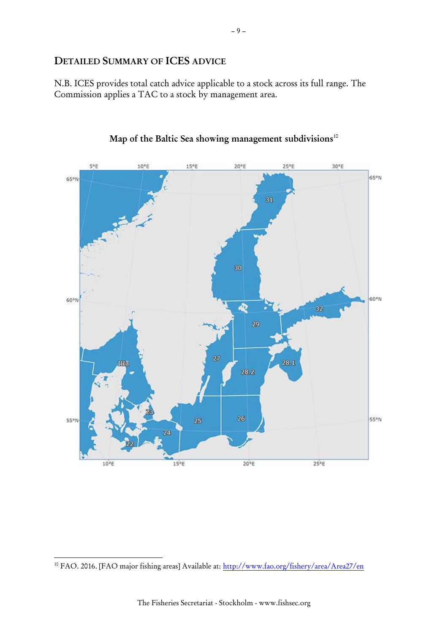## <span id="page-8-0"></span>**DETAILED SUMMARY OF ICES ADVICE**

N.B. ICES provides total catch advice applicable to a stock across its full range. The Commission applies a TAC to a stock by management area.





-

<sup>10</sup> FAO. 2016. [FAO major fishing areas] Available at: <http://www.fao.org/fishery/area/Area27/en>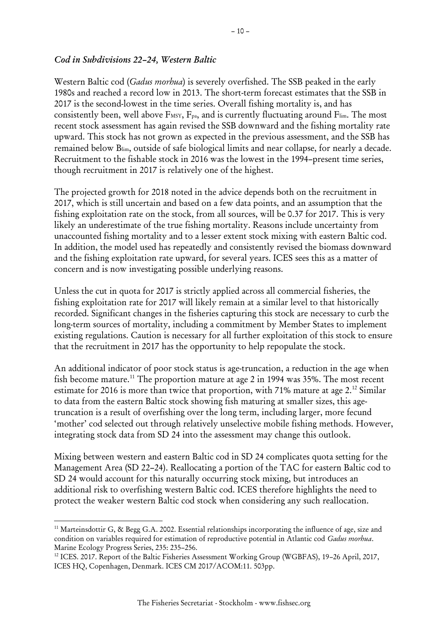#### <span id="page-9-0"></span>*Cod in Subdivisions 22–24, Western Baltic*

Western Baltic cod (*Gadus morhua*) is severely overfished. The SSB peaked in the early 1980s and reached a record low in 2013. The short-term forecast estimates that the SSB in 2017 is the second-lowest in the time series. Overall fishing mortality is, and has consistently been, well above  $F$ <sub>MSY</sub>,  $F_{pa}$ , and is currently fluctuating around  $F$ lim. The most recent stock assessment has again revised the SSB downward and the fishing mortality rate upward. This stock has not grown as expected in the previous assessment, and the SSB has remained below Blim, outside of safe biological limits and near collapse, for nearly a decade. Recruitment to the fishable stock in 2016 was the lowest in the 1994–present time series, though recruitment in 2017 is relatively one of the highest.

The projected growth for 2018 noted in the advice depends both on the recruitment in 2017, which is still uncertain and based on a few data points, and an assumption that the fishing exploitation rate on the stock, from all sources, will be 0.37 for 2017. This is very likely an underestimate of the true fishing mortality. Reasons include uncertainty from unaccounted fishing mortality and to a lesser extent stock mixing with eastern Baltic cod. In addition, the model used has repeatedly and consistently revised the biomass downward and the fishing exploitation rate upward, for several years. ICES sees this as a matter of concern and is now investigating possible underlying reasons.

Unless the cut in quota for 2017 is strictly applied across all commercial fisheries, the fishing exploitation rate for 2017 will likely remain at a similar level to that historically recorded. Significant changes in the fisheries capturing this stock are necessary to curb the long-term sources of mortality, including a commitment by Member States to implement existing regulations. Caution is necessary for all further exploitation of this stock to ensure that the recruitment in 2017 has the opportunity to help repopulate the stock.

An additional indicator of poor stock status is age-truncation, a reduction in the age when fish become mature.<sup>11</sup> The proportion mature at age 2 in 1994 was 35%. The most recent estimate for 2016 is more than twice that proportion, with 71% mature at age 2.<sup>12</sup> Similar to data from the eastern Baltic stock showing fish maturing at smaller sizes, this agetruncation is a result of overfishing over the long term, including larger, more fecund 'mother' cod selected out through relatively unselective mobile fishing methods. However, integrating stock data from SD 24 into the assessment may change this outlook.

Mixing between western and eastern Baltic cod in SD 24 complicates quota setting for the Management Area (SD 22–24). Reallocating a portion of the TAC for eastern Baltic cod to SD 24 would account for this naturally occurring stock mixing, but introduces an additional risk to overfishing western Baltic cod. ICES therefore highlights the need to protect the weaker western Baltic cod stock when considering any such reallocation.

<sup>11</sup> Marteinsdottir G, & Begg G.A. 2002. Essential relationships incorporating the influence of age, size and condition on variables required for estimation of reproductive potential in Atlantic cod *Gadus morhua*. Marine Ecology Progress Series, 235: 235–256.

<sup>&</sup>lt;sup>12</sup> ICES. 2017. Report of the Baltic Fisheries Assessment Working Group (WGBFAS), 19–26 April, 2017, ICES HQ, Copenhagen, Denmark. ICES CM 2017/ACOM:11. 503pp.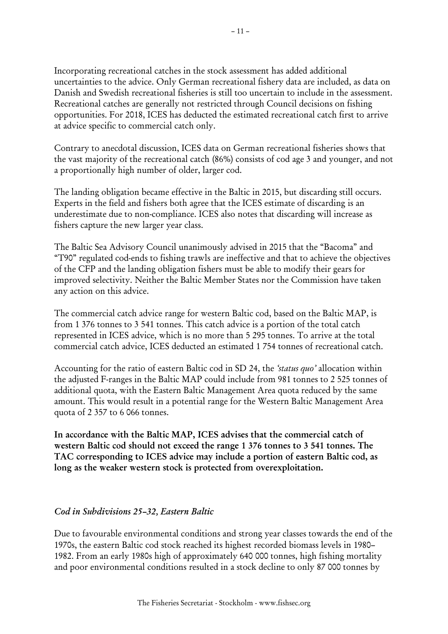Incorporating recreational catches in the stock assessment has added additional uncertainties to the advice. Only German recreational fishery data are included, as data on Danish and Swedish recreational fisheries is still too uncertain to include in the assessment. Recreational catches are generally not restricted through Council decisions on fishing opportunities. For 2018, ICES has deducted the estimated recreational catch first to arrive at advice specific to commercial catch only.

Contrary to anecdotal discussion, ICES data on German recreational fisheries shows that the vast majority of the recreational catch (86%) consists of cod age 3 and younger, and not a proportionally high number of older, larger cod.

The landing obligation became effective in the Baltic in 2015, but discarding still occurs. Experts in the field and fishers both agree that the ICES estimate of discarding is an underestimate due to non-compliance. ICES also notes that discarding will increase as fishers capture the new larger year class.

The Baltic Sea Advisory Council unanimously advised in 2015 that the "Bacoma" and "T90" regulated cod-ends to fishing trawls are ineffective and that to achieve the objectives of the CFP and the landing obligation fishers must be able to modify their gears for improved selectivity. Neither the Baltic Member States nor the Commission have taken any action on this advice.

The commercial catch advice range for western Baltic cod, based on the Baltic MAP, is from 1 376 tonnes to 3 541 tonnes. This catch advice is a portion of the total catch represented in ICES advice, which is no more than 5 295 tonnes. To arrive at the total commercial catch advice, ICES deducted an estimated 1 754 tonnes of recreational catch.

Accounting for the ratio of eastern Baltic cod in SD 24, the *'status quo'* allocation within the adjusted F-ranges in the Baltic MAP could include from 981 tonnes to 2 525 tonnes of additional quota, with the Eastern Baltic Management Area quota reduced by the same amount. This would result in a potential range for the Western Baltic Management Area quota of 2 357 to 6 066 tonnes.

**In accordance with the Baltic MAP, ICES advises that the commercial catch of western Baltic cod should not exceed the range 1 376 tonnes to 3 541 tonnes. The TAC corresponding to ICES advice may include a portion of eastern Baltic cod, as long as the weaker western stock is protected from overexploitation.**

#### <span id="page-10-0"></span>*Cod in Subdivisions 25–32, Eastern Baltic*

Due to favourable environmental conditions and strong year classes towards the end of the 1970s, the eastern Baltic cod stock reached its highest recorded biomass levels in 1980– 1982. From an early 1980s high of approximately 640 000 tonnes, high fishing mortality and poor environmental conditions resulted in a stock decline to only 87 000 tonnes by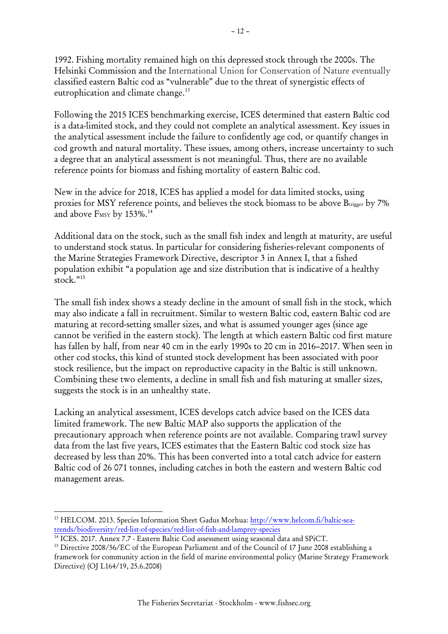1992. Fishing mortality remained high on this depressed stock through the 2000s. The Helsinki Commission and the International Union for Conservation of Nature eventually classified eastern Baltic cod as "vulnerable" due to the threat of synergistic effects of eutrophication and climate change.<sup>13</sup>

Following the 2015 ICES benchmarking exercise, ICES determined that eastern Baltic cod is a data-limited stock, and they could not complete an analytical assessment. Key issues in the analytical assessment include the failure to confidently age cod, or quantify changes in cod growth and natural mortality. These issues, among others, increase uncertainty to such a degree that an analytical assessment is not meaningful. Thus, there are no available reference points for biomass and fishing mortality of eastern Baltic cod.

New in the advice for 2018, ICES has applied a model for data limited stocks, using proxies for MSY reference points, and believes the stock biomass to be above Burigger by 7% and above F<sub>MSY</sub> by 153%.<sup>14</sup>

Additional data on the stock, such as the small fish index and length at maturity, are useful to understand stock status. In particular for considering fisheries-relevant components of the Marine Strategies Framework Directive, descriptor 3 in Annex I, that a fished population exhibit "a population age and size distribution that is indicative of a healthy stock." 15

The small fish index shows a steady decline in the amount of small fish in the stock, which may also indicate a fall in recruitment. Similar to western Baltic cod, eastern Baltic cod are maturing at record-setting smaller sizes, and what is assumed younger ages (since age cannot be verified in the eastern stock). The length at which eastern Baltic cod first mature has fallen by half, from near 40 cm in the early 1990s to 20 cm in 2016–2017. When seen in other cod stocks, this kind of stunted stock development has been associated with poor stock resilience, but the impact on reproductive capacity in the Baltic is still unknown. Combining these two elements, a decline in small fish and fish maturing at smaller sizes, suggests the stock is in an unhealthy state.

Lacking an analytical assessment, ICES develops catch advice based on the ICES data limited framework. The new Baltic MAP also supports the application of the precautionary approach when reference points are not available. Comparing trawl survey data from the last five years, ICES estimates that the Eastern Baltic cod stock size has decreased by less than 20%. This has been converted into a total catch advice for eastern Baltic cod of 26 071 tonnes, including catches in both the eastern and western Baltic cod management areas.

<sup>&</sup>lt;sup>13</sup> HELCOM. 2013. Species Information Sheet Gadus Morhua: [http://www.helcom.fi/baltic-sea](http://www.helcom.fi/baltic-sea-trends/biodiversity/red-list-of-species/red-list-of-fish-and-lamprey-species)[trends/biodiversity/red-list-of-species/red-list-of-fish-and-lamprey-species](http://www.helcom.fi/baltic-sea-trends/biodiversity/red-list-of-species/red-list-of-fish-and-lamprey-species)

<sup>&</sup>lt;sup>14</sup> ICES. 2017. Annex 7.7 - Eastern Baltic Cod assessment using seasonal data and SPiCT.

<sup>&</sup>lt;sup>15</sup> Directive 2008/56/EC of the European Parliament and of the Council of 17 June 2008 establishing a framework for community action in the field of marine environmental policy (Marine Strategy Framework Directive) (OJ L164/19, 25.6.2008)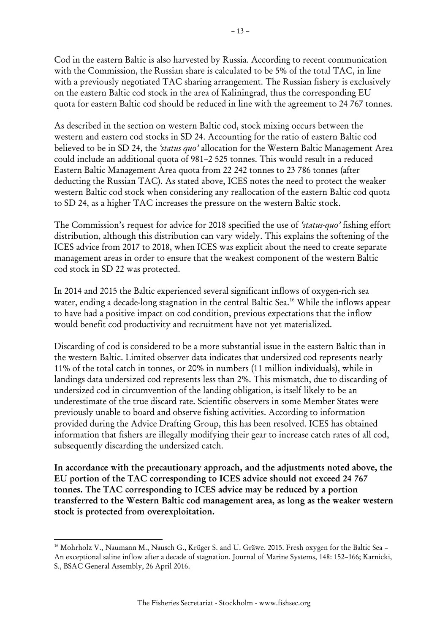Cod in the eastern Baltic is also harvested by Russia. According to recent communication with the Commission, the Russian share is calculated to be 5% of the total TAC, in line with a previously negotiated TAC sharing arrangement. The Russian fishery is exclusively on the eastern Baltic cod stock in the area of Kaliningrad, thus the corresponding EU quota for eastern Baltic cod should be reduced in line with the agreement to 24 767 tonnes.

As described in the section on western Baltic cod, stock mixing occurs between the western and eastern cod stocks in SD 24. Accounting for the ratio of eastern Baltic cod believed to be in SD 24, the *'status quo'* allocation for the Western Baltic Management Area could include an additional quota of 981–2 525 tonnes. This would result in a reduced Eastern Baltic Management Area quota from 22 242 tonnes to 23 786 tonnes (after deducting the Russian TAC). As stated above, ICES notes the need to protect the weaker western Baltic cod stock when considering any reallocation of the eastern Baltic cod quota to SD 24, as a higher TAC increases the pressure on the western Baltic stock.

The Commission's request for advice for 2018 specified the use of *'status-quo'* fishing effort distribution, although this distribution can vary widely. This explains the softening of the ICES advice from 2017 to 2018, when ICES was explicit about the need to create separate management areas in order to ensure that the weakest component of the western Baltic cod stock in SD 22 was protected.

In 2014 and 2015 the Baltic experienced several significant inflows of oxygen-rich sea water, ending a decade-long stagnation in the central Baltic Sea. <sup>16</sup> While the inflows appear to have had a positive impact on cod condition, previous expectations that the inflow would benefit cod productivity and recruitment have not yet materialized.

Discarding of cod is considered to be a more substantial issue in the eastern Baltic than in the western Baltic. Limited observer data indicates that undersized cod represents nearly 11% of the total catch in tonnes, or 20% in numbers (11 million individuals), while in landings data undersized cod represents less than 2%. This mismatch, due to discarding of undersized cod in circumvention of the landing obligation, is itself likely to be an underestimate of the true discard rate. Scientific observers in some Member States were previously unable to board and observe fishing activities. According to information provided during the Advice Drafting Group, this has been resolved. ICES has obtained information that fishers are illegally modifying their gear to increase catch rates of all cod, subsequently discarding the undersized catch.

**In accordance with the precautionary approach, and the adjustments noted above, the EU portion of the TAC corresponding to ICES advice should not exceed 24 767 tonnes. The TAC corresponding to ICES advice may be reduced by a portion transferred to the Western Baltic cod management area, as long as the weaker western stock is protected from overexploitation.**

<sup>&</sup>lt;sup>16</sup> Mohrholz V., Naumann M., Nausch G., Krüger S. and U. Gräwe. 2015. Fresh oxygen for the Baltic Sea – An exceptional saline inflow after a decade of stagnation. Journal of Marine Systems, 148: 152–166; Karnicki, S., BSAC General Assembly, 26 April 2016.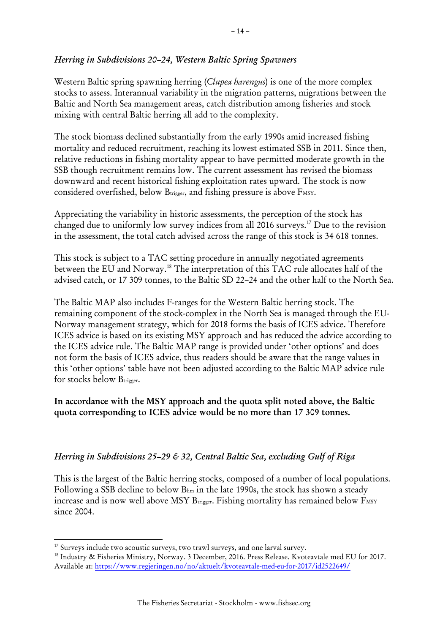#### <span id="page-13-0"></span>*Herring in Subdivisions 20–24, Western Baltic Spring Spawners*

Western Baltic spring spawning herring (*Clupea harengus*) is one of the more complex stocks to assess. Interannual variability in the migration patterns, migrations between the Baltic and North Sea management areas, catch distribution among fisheries and stock mixing with central Baltic herring all add to the complexity.

The stock biomass declined substantially from the early 1990s amid increased fishing mortality and reduced recruitment, reaching its lowest estimated SSB in 2011. Since then, relative reductions in fishing mortality appear to have permitted moderate growth in the SSB though recruitment remains low. The current assessment has revised the biomass downward and recent historical fishing exploitation rates upward. The stock is now considered overfished, below B<sub>trigger</sub>, and fishing pressure is above F<sub>MSY</sub>.

Appreciating the variability in historic assessments, the perception of the stock has changed due to uniformly low survey indices from all 2016 surveys.<sup>17</sup> Due to the revision in the assessment, the total catch advised across the range of this stock is 34 618 tonnes.

This stock is subject to a TAC setting procedure in annually negotiated agreements between the EU and Norway.<sup>18</sup> The interpretation of this TAC rule allocates half of the advised catch, or 17 309 tonnes, to the Baltic SD 22–24 and the other half to the North Sea.

The Baltic MAP also includes F-ranges for the Western Baltic herring stock. The remaining component of the stock-complex in the North Sea is managed through the EU-Norway management strategy, which for 2018 forms the basis of ICES advice. Therefore ICES advice is based on its existing MSY approach and has reduced the advice according to the ICES advice rule. The Baltic MAP range is provided under 'other options' and does not form the basis of ICES advice, thus readers should be aware that the range values in this 'other options' table have not been adjusted according to the Baltic MAP advice rule for stocks below Burigger.

## **In accordance with the MSY approach and the quota split noted above, the Baltic quota corresponding to ICES advice would be no more than 17 309 tonnes.**

#### <span id="page-13-1"></span>*Herring in Subdivisions 25–29 & 32, Central Baltic Sea, excluding Gulf of Riga*

This is the largest of the Baltic herring stocks, composed of a number of local populations. Following a SSB decline to below Blim in the late 1990s, the stock has shown a steady increase and is now well above MSY  $B_{trigger}$ . Fishing mortality has remained below  $F_{MSY}$ since 2004.

<sup>&</sup>lt;sup>17</sup> Surveys include two acoustic surveys, two trawl surveys, and one larval survey.

<sup>18</sup> Industry & Fisheries Ministry, Norway. 3 December, 2016. Press Release. Kvoteavtale med EU for 2017. Available at:<https://www.regjeringen.no/no/aktuelt/kvoteavtale-med-eu-for-2017/id2522649/>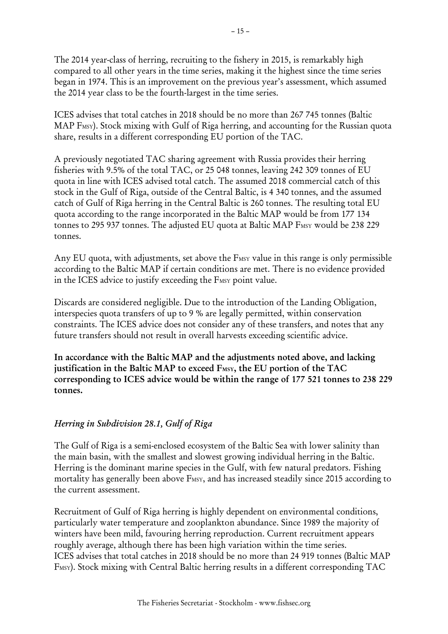The 2014 year-class of herring, recruiting to the fishery in 2015, is remarkably high compared to all other years in the time series, making it the highest since the time series began in 1974. This is an improvement on the previous year's assessment, which assumed the 2014 year class to be the fourth-largest in the time series.

ICES advises that total catches in 2018 should be no more than 267 745 tonnes (Baltic MAP F<sub>MSY</sub>). Stock mixing with Gulf of Riga herring, and accounting for the Russian quota share, results in a different corresponding EU portion of the TAC.

A previously negotiated TAC sharing agreement with Russia provides their herring fisheries with 9.5% of the total TAC, or 25 048 tonnes, leaving 242 309 tonnes of EU quota in line with ICES advised total catch. The assumed 2018 commercial catch of this stock in the Gulf of Riga, outside of the Central Baltic, is 4 340 tonnes, and the assumed catch of Gulf of Riga herring in the Central Baltic is 260 tonnes. The resulting total EU quota according to the range incorporated in the Baltic MAP would be from 177 134 tonnes to 295 937 tonnes. The adjusted EU quota at Baltic MAP FMSY would be 238 229 tonnes.

Any EU quota, with adjustments, set above the FMSY value in this range is only permissible according to the Baltic MAP if certain conditions are met. There is no evidence provided in the ICES advice to justify exceeding the FMSY point value.

Discards are considered negligible. Due to the introduction of the Landing Obligation, interspecies quota transfers of up to 9 % are legally permitted, within conservation constraints. The ICES advice does not consider any of these transfers, and notes that any future transfers should not result in overall harvests exceeding scientific advice.

**In accordance with the Baltic MAP and the adjustments noted above, and lacking justification in the Baltic MAP to exceed FMSY, the EU portion of the TAC corresponding to ICES advice would be within the range of 177 521 tonnes to 238 229 tonnes.**

## <span id="page-14-0"></span>*Herring in Subdivision 28.1, Gulf of Riga*

The Gulf of Riga is a semi-enclosed ecosystem of the Baltic Sea with lower salinity than the main basin, with the smallest and slowest growing individual herring in the Baltic. Herring is the dominant marine species in the Gulf, with few natural predators. Fishing mortality has generally been above F<sub>MSY</sub>, and has increased steadily since 2015 according to the current assessment.

Recruitment of Gulf of Riga herring is highly dependent on environmental conditions, particularly water temperature and zooplankton abundance. Since 1989 the majority of winters have been mild, favouring herring reproduction. Current recruitment appears roughly average, although there has been high variation within the time series. ICES advises that total catches in 2018 should be no more than 24 919 tonnes (Baltic MAP F<sub>MSY</sub>). Stock mixing with Central Baltic herring results in a different corresponding TAC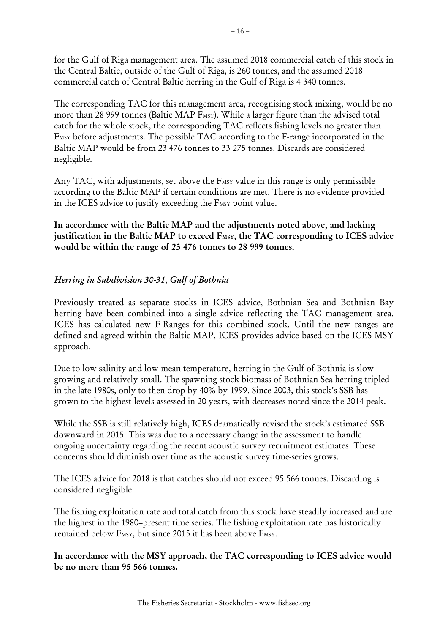for the Gulf of Riga management area. The assumed 2018 commercial catch of this stock in the Central Baltic, outside of the Gulf of Riga, is 260 tonnes, and the assumed 2018 commercial catch of Central Baltic herring in the Gulf of Riga is 4 340 tonnes.

The corresponding TAC for this management area, recognising stock mixing, would be no more than 28 999 tonnes (Baltic MAP F<sub>MSY</sub>). While a larger figure than the advised total catch for the whole stock, the corresponding TAC reflects fishing levels no greater than F<sub>MSY</sub> before adjustments. The possible TAC according to the F-range incorporated in the Baltic MAP would be from 23 476 tonnes to 33 275 tonnes. Discards are considered negligible.

Any TAC, with adjustments, set above the F<sub>MSY</sub> value in this range is only permissible according to the Baltic MAP if certain conditions are met. There is no evidence provided in the ICES advice to justify exceeding the FMSY point value.

**In accordance with the Baltic MAP and the adjustments noted above, and lacking justification in the Baltic MAP to exceed FMSY, the TAC corresponding to ICES advice would be within the range of 23 476 tonnes to 28 999 tonnes.**

## <span id="page-15-0"></span>*Herring in Subdivision 30-31, Gulf of Bothnia*

Previously treated as separate stocks in ICES advice, Bothnian Sea and Bothnian Bay herring have been combined into a single advice reflecting the TAC management area. ICES has calculated new F-Ranges for this combined stock. Until the new ranges are defined and agreed within the Baltic MAP, ICES provides advice based on the ICES MSY approach.

Due to low salinity and low mean temperature, herring in the Gulf of Bothnia is slowgrowing and relatively small. The spawning stock biomass of Bothnian Sea herring tripled in the late 1980s, only to then drop by 40% by 1999. Since 2003, this stock's SSB has grown to the highest levels assessed in 20 years, with decreases noted since the 2014 peak.

While the SSB is still relatively high, ICES dramatically revised the stock's estimated SSB downward in 2015. This was due to a necessary change in the assessment to handle ongoing uncertainty regarding the recent acoustic survey recruitment estimates. These concerns should diminish over time as the acoustic survey time-series grows.

The ICES advice for 2018 is that catches should not exceed 95 566 tonnes. Discarding is considered negligible.

The fishing exploitation rate and total catch from this stock have steadily increased and are the highest in the 1980–present time series. The fishing exploitation rate has historically remained below F<sub>MSY</sub>, but since 2015 it has been above F<sub>MSY</sub>.

**In accordance with the MSY approach, the TAC corresponding to ICES advice would be no more than 95 566 tonnes.**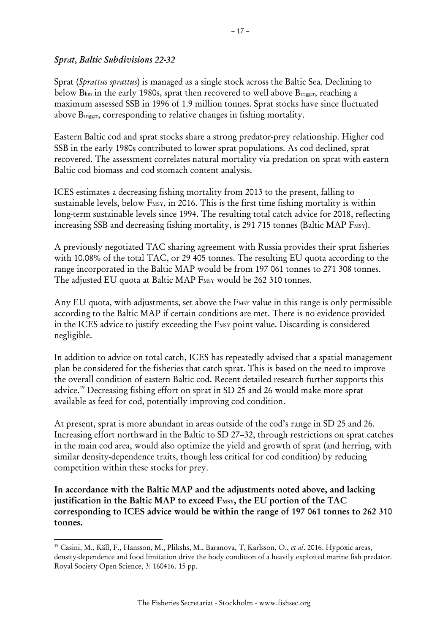#### <span id="page-16-0"></span>*Sprat, Baltic Subdivisions 22-32*

1

Sprat (*Sprattus sprattus*) is managed as a single stock across the Baltic Sea. Declining to below Blim in the early 1980s, sprat then recovered to well above Burigger, reaching a maximum assessed SSB in 1996 of 1.9 million tonnes. Sprat stocks have since fluctuated above B<sub>trigger</sub>, corresponding to relative changes in fishing mortality.

Eastern Baltic cod and sprat stocks share a strong predator-prey relationship. Higher cod SSB in the early 1980s contributed to lower sprat populations. As cod declined, sprat recovered. The assessment correlates natural mortality via predation on sprat with eastern Baltic cod biomass and cod stomach content analysis.

ICES estimates a decreasing fishing mortality from 2013 to the present, falling to sustainable levels, below F<sub>MSY</sub>, in 2016. This is the first time fishing mortality is within long-term sustainable levels since 1994. The resulting total catch advice for 2018, reflecting increasing SSB and decreasing fishing mortality, is 291 715 tonnes (Baltic MAP F<sub>MSY</sub>).

A previously negotiated TAC sharing agreement with Russia provides their sprat fisheries with 10.08% of the total TAC, or 29 405 tonnes. The resulting EU quota according to the range incorporated in the Baltic MAP would be from 197 061 tonnes to 271 308 tonnes. The adjusted EU quota at Baltic MAP FMSY would be 262 310 tonnes.

Any EU quota, with adjustments, set above the FMSY value in this range is only permissible according to the Baltic MAP if certain conditions are met. There is no evidence provided in the ICES advice to justify exceeding the FMSY point value. Discarding is considered negligible.

In addition to advice on total catch, ICES has repeatedly advised that a spatial management plan be considered for the fisheries that catch sprat. This is based on the need to improve the overall condition of eastern Baltic cod. Recent detailed research further supports this advice.<sup>19</sup> Decreasing fishing effort on sprat in SD 25 and 26 would make more sprat available as feed for cod, potentially improving cod condition.

At present, sprat is more abundant in areas outside of the cod's range in SD 25 and 26. Increasing effort northward in the Baltic to SD 27–32, through restrictions on sprat catches in the main cod area, would also optimize the yield and growth of sprat (and herring, with similar density-dependence traits, though less critical for cod condition) by reducing competition within these stocks for prey.

**In accordance with the Baltic MAP and the adjustments noted above, and lacking justification in the Baltic MAP to exceed FMSY, the EU portion of the TAC corresponding to ICES advice would be within the range of 197 061 tonnes to 262 310 tonnes.**

<sup>19</sup> Casini, M., Käll, F., Hansson, M., Plikshs, M., Baranova, T, Karlsson, O., *et al*. 2016. Hypoxic areas, density-dependence and food limitation drive the body condition of a heavily exploited marine fish predator. Royal Society Open Science, 3: 160416. 15 pp.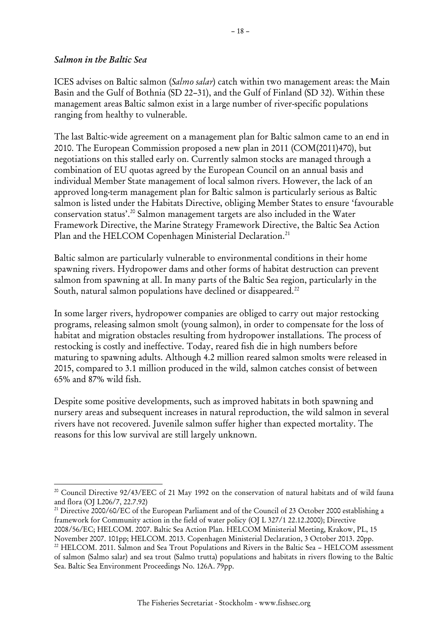#### <span id="page-17-0"></span>*Salmon in the Baltic Sea*

-

ICES advises on Baltic salmon (*Salmo salar*) catch within two management areas: the Main Basin and the Gulf of Bothnia (SD 22–31), and the Gulf of Finland (SD 32). Within these management areas Baltic salmon exist in a large number of river-specific populations ranging from healthy to vulnerable.

The last Baltic-wide agreement on a management plan for Baltic salmon came to an end in 2010. The European Commission proposed a new plan in 2011 (COM(2011)470), but negotiations on this stalled early on. Currently salmon stocks are managed through a combination of EU quotas agreed by the European Council on an annual basis and individual Member State management of local salmon rivers. However, the lack of an approved long-term management plan for Baltic salmon is particularly serious as Baltic salmon is listed under the Habitats Directive, obliging Member States to ensure 'favourable conservation status'. <sup>20</sup> Salmon management targets are also included in the Water Framework Directive, the Marine Strategy Framework Directive, the Baltic Sea Action Plan and the HELCOM Copenhagen Ministerial Declaration.<sup>21</sup>

Baltic salmon are particularly vulnerable to environmental conditions in their home spawning rivers. Hydropower dams and other forms of habitat destruction can prevent salmon from spawning at all. In many parts of the Baltic Sea region, particularly in the South, natural salmon populations have declined or disappeared.<sup>22</sup>

In some larger rivers, hydropower companies are obliged to carry out major restocking programs, releasing salmon smolt (young salmon), in order to compensate for the loss of habitat and migration obstacles resulting from hydropower installations. The process of restocking is costly and ineffective. Today, reared fish die in high numbers before maturing to spawning adults. Although 4.2 million reared salmon smolts were released in 2015, compared to 3.1 million produced in the wild, salmon catches consist of between 65% and 87% wild fish.

Despite some positive developments, such as improved habitats in both spawning and nursery areas and subsequent increases in natural reproduction, the wild salmon in several rivers have not recovered. Juvenile salmon suffer higher than expected mortality. The reasons for this low survival are still largely unknown.

<sup>20</sup> Council Directive 92/43/EEC of 21 May 1992 on the conservation of natural habitats and of wild fauna and flora (OJ L206/7, 22.7.92)

<sup>&</sup>lt;sup>21</sup> Directive 2000/60/EC of the European Parliament and of the Council of 23 October 2000 establishing a framework for Community action in the field of water policy (OJ L 327/1 22.12.2000); Directive 2008/56/EC; HELCOM. 2007. Baltic Sea Action Plan. HELCOM Ministerial Meeting, Krakow, PL, 15

November 2007. 101pp; HELCOM. 2013. Copenhagen Ministerial Declaration, 3 October 2013. 20pp. <sup>22</sup> HELCOM. 2011. Salmon and Sea Trout Populations and Rivers in the Baltic Sea - HELCOM assessment

of salmon (Salmo salar) and sea trout (Salmo trutta) populations and habitats in rivers flowing to the Baltic Sea. Baltic Sea Environment Proceedings No. 126A. 79pp.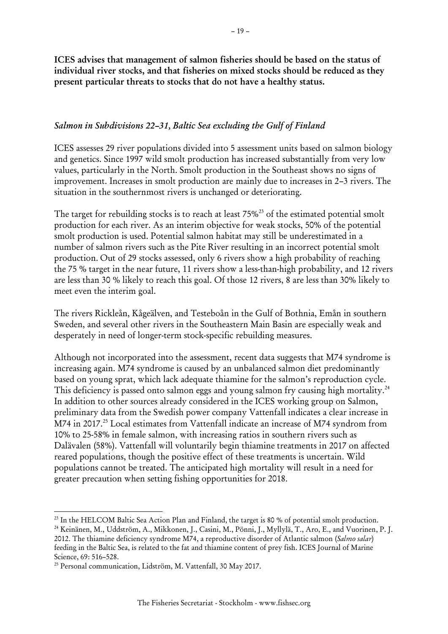**ICES advises that management of salmon fisheries should be based on the status of individual river stocks, and that fisheries on mixed stocks should be reduced as they present particular threats to stocks that do not have a healthy status.** 

#### <span id="page-18-0"></span>*Salmon in Subdivisions 22–31, Baltic Sea excluding the Gulf of Finland*

ICES assesses 29 river populations divided into 5 assessment units based on salmon biology and genetics. Since 1997 wild smolt production has increased substantially from very low values, particularly in the North. Smolt production in the Southeast shows no signs of improvement. Increases in smolt production are mainly due to increases in 2–3 rivers. The situation in the southernmost rivers is unchanged or deteriorating.

The target for rebuilding stocks is to reach at least 75%<sup>23</sup> of the estimated potential smolt production for each river. As an interim objective for weak stocks, 50% of the potential smolt production is used. Potential salmon habitat may still be underestimated in a number of salmon rivers such as the Pite River resulting in an incorrect potential smolt production. Out of 29 stocks assessed, only 6 rivers show a high probability of reaching the 75 % target in the near future, 11 rivers show a less-than-high probability, and 12 rivers are less than 30 % likely to reach this goal. Of those 12 rivers, 8 are less than 30% likely to meet even the interim goal.

The rivers Rickleån, Kågeälven, and Testeboån in the Gulf of Bothnia, Emån in southern Sweden, and several other rivers in the Southeastern Main Basin are especially weak and desperately in need of longer-term stock-specific rebuilding measures.

Although not incorporated into the assessment, recent data suggests that M74 syndrome is increasing again. M74 syndrome is caused by an unbalanced salmon diet predominantly based on young sprat, which lack adequate thiamine for the salmon's reproduction cycle. This deficiency is passed onto salmon eggs and young salmon fry causing high mortality.<sup>24</sup> In addition to other sources already considered in the ICES working group on Salmon, preliminary data from the Swedish power company Vattenfall indicates a clear increase in M74 in 2017. <sup>25</sup> Local estimates from Vattenfall indicate an increase of M74 syndrom from 10% to 25-58% in female salmon, with increasing ratios in southern rivers such as Dalävalen (58%). Vattenfall will voluntarily begin thiamine treatments in 2017 on affected reared populations, though the positive effect of these treatments is uncertain. Wild populations cannot be treated. The anticipated high mortality will result in a need for greater precaution when setting fishing opportunities for 2018.

<sup>&</sup>lt;sup>23</sup> In the HELCOM Baltic Sea Action Plan and Finland, the target is 80 % of potential smolt production. <sup>24</sup> Keinänen, M., Uddström, A., Mikkonen, J., Casini, M., Pönni, J., Myllylä, T., Aro, E., and Vuorinen, P. J. 2012. The thiamine deficiency syndrome M74, a reproductive disorder of Atlantic salmon (*Salmo salar*) feeding in the Baltic Sea, is related to the fat and thiamine content of prey fish. ICES Journal of Marine Science, 69: 516-528.

<sup>25</sup> Personal communication, Lidström, M. Vattenfall, 30 May 2017.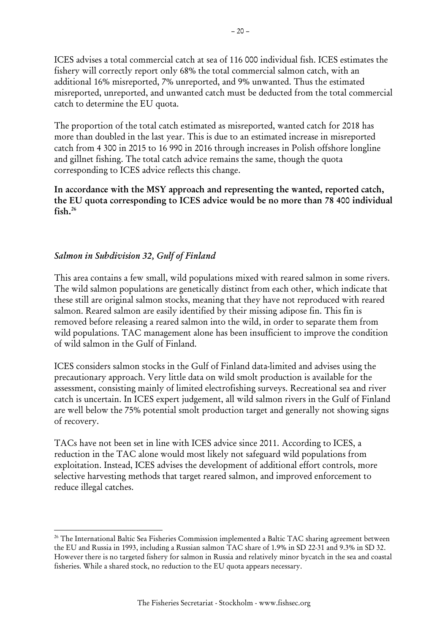ICES advises a total commercial catch at sea of 116 000 individual fish. ICES estimates the fishery will correctly report only 68% the total commercial salmon catch, with an additional 16% misreported, 7% unreported, and 9% unwanted. Thus the estimated misreported, unreported, and unwanted catch must be deducted from the total commercial catch to determine the EU quota.

The proportion of the total catch estimated as misreported, wanted catch for 2018 has more than doubled in the last year. This is due to an estimated increase in misreported catch from 4 300 in 2015 to 16 990 in 2016 through increases in Polish offshore longline and gillnet fishing. The total catch advice remains the same, though the quota corresponding to ICES advice reflects this change.

**In accordance with the MSY approach and representing the wanted, reported catch, the EU quota corresponding to ICES advice would be no more than 78 400 individual fish. 26**

#### <span id="page-19-0"></span>*Salmon in Subdivision 32, Gulf of Finland*

1

This area contains a few small, wild populations mixed with reared salmon in some rivers. The wild salmon populations are genetically distinct from each other, which indicate that these still are original salmon stocks, meaning that they have not reproduced with reared salmon. Reared salmon are easily identified by their missing adipose fin. This fin is removed before releasing a reared salmon into the wild, in order to separate them from wild populations. TAC management alone has been insufficient to improve the condition of wild salmon in the Gulf of Finland.

ICES considers salmon stocks in the Gulf of Finland data-limited and advises using the precautionary approach. Very little data on wild smolt production is available for the assessment, consisting mainly of limited electrofishing surveys. Recreational sea and river catch is uncertain. In ICES expert judgement, all wild salmon rivers in the Gulf of Finland are well below the 75% potential smolt production target and generally not showing signs of recovery.

TACs have not been set in line with ICES advice since 2011. According to ICES, a reduction in the TAC alone would most likely not safeguard wild populations from exploitation. Instead, ICES advises the development of additional effort controls, more selective harvesting methods that target reared salmon, and improved enforcement to reduce illegal catches.

<sup>&</sup>lt;sup>26</sup> The International Baltic Sea Fisheries Commission implemented a Baltic TAC sharing agreement between the EU and Russia in 1993, including a Russian salmon TAC share of 1.9% in SD 22-31 and 9.3% in SD 32. However there is no targeted fishery for salmon in Russia and relatively minor bycatch in the sea and coastal fisheries. While a shared stock, no reduction to the EU quota appears necessary.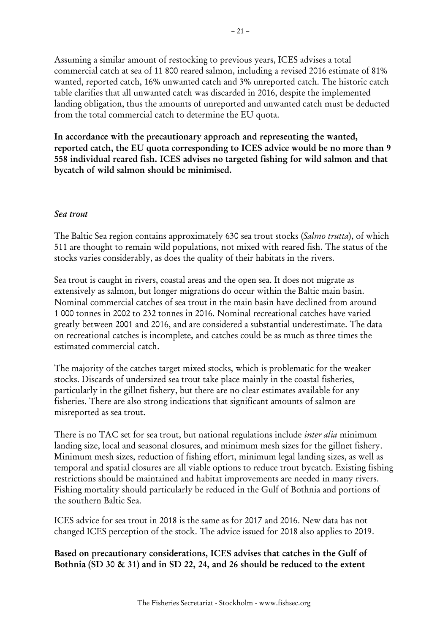Assuming a similar amount of restocking to previous years, ICES advises a total commercial catch at sea of 11 800 reared salmon, including a revised 2016 estimate of 81% wanted, reported catch, 16% unwanted catch and 3% unreported catch. The historic catch table clarifies that all unwanted catch was discarded in 2016, despite the implemented landing obligation, thus the amounts of unreported and unwanted catch must be deducted from the total commercial catch to determine the EU quota.

**In accordance with the precautionary approach and representing the wanted, reported catch, the EU quota corresponding to ICES advice would be no more than 9 558 individual reared fish. ICES advises no targeted fishing for wild salmon and that bycatch of wild salmon should be minimised.**

#### <span id="page-20-0"></span>*Sea trout*

The Baltic Sea region contains approximately 630 sea trout stocks (*Salmo trutta*), of which 511 are thought to remain wild populations, not mixed with reared fish. The status of the stocks varies considerably, as does the quality of their habitats in the rivers.

Sea trout is caught in rivers, coastal areas and the open sea. It does not migrate as extensively as salmon, but longer migrations do occur within the Baltic main basin. Nominal commercial catches of sea trout in the main basin have declined from around 1 000 tonnes in 2002 to 232 tonnes in 2016. Nominal recreational catches have varied greatly between 2001 and 2016, and are considered a substantial underestimate. The data on recreational catches is incomplete, and catches could be as much as three times the estimated commercial catch.

The majority of the catches target mixed stocks, which is problematic for the weaker stocks. Discards of undersized sea trout take place mainly in the coastal fisheries, particularly in the gillnet fishery, but there are no clear estimates available for any fisheries. There are also strong indications that significant amounts of salmon are misreported as sea trout.

There is no TAC set for sea trout, but national regulations include *inter alia* minimum landing size, local and seasonal closures, and minimum mesh sizes for the gillnet fishery. Minimum mesh sizes, reduction of fishing effort, minimum legal landing sizes, as well as temporal and spatial closures are all viable options to reduce trout bycatch. Existing fishing restrictions should be maintained and habitat improvements are needed in many rivers. Fishing mortality should particularly be reduced in the Gulf of Bothnia and portions of the southern Baltic Sea.

ICES advice for sea trout in 2018 is the same as for 2017 and 2016. New data has not changed ICES perception of the stock. The advice issued for 2018 also applies to 2019.

**Based on precautionary considerations, ICES advises that catches in the Gulf of Bothnia (SD 30 & 31) and in SD 22, 24, and 26 should be reduced to the extent**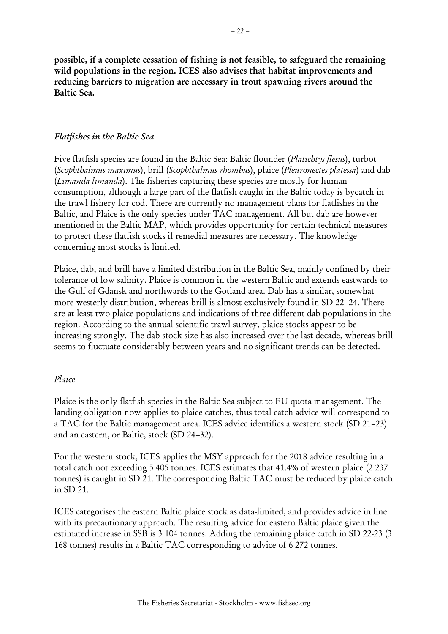**possible, if a complete cessation of fishing is not feasible, to safeguard the remaining wild populations in the region. ICES also advises that habitat improvements and reducing barriers to migration are necessary in trout spawning rivers around the Baltic Sea.**

#### <span id="page-21-0"></span>*Flatfishes in the Baltic Sea*

Five flatfish species are found in the Baltic Sea: Baltic flounder (*Platichtys flesus*), turbot (*Scophthalmus maximus*), brill (*Scophthalmus rhombus*), plaice (*Pleuronectes platessa*) and dab (*Limanda limanda*). The fisheries capturing these species are mostly for human consumption, although a large part of the flatfish caught in the Baltic today is bycatch in the trawl fishery for cod. There are currently no management plans for flatfishes in the Baltic, and Plaice is the only species under TAC management. All but dab are however mentioned in the Baltic MAP, which provides opportunity for certain technical measures to protect these flatfish stocks if remedial measures are necessary. The knowledge concerning most stocks is limited.

Plaice, dab, and brill have a limited distribution in the Baltic Sea, mainly confined by their tolerance of low salinity. Plaice is common in the western Baltic and extends eastwards to the Gulf of Gdansk and northwards to the Gotland area. Dab has a similar, somewhat more westerly distribution, whereas brill is almost exclusively found in SD 22–24. There are at least two plaice populations and indications of three different dab populations in the region. According to the annual scientific trawl survey, plaice stocks appear to be increasing strongly. The dab stock size has also increased over the last decade, whereas brill seems to fluctuate considerably between years and no significant trends can be detected.

#### <span id="page-21-1"></span>*Plaice*

Plaice is the only flatfish species in the Baltic Sea subject to EU quota management. The landing obligation now applies to plaice catches, thus total catch advice will correspond to a TAC for the Baltic management area. ICES advice identifies a western stock (SD 21–23) and an eastern, or Baltic, stock (SD 24–32).

For the western stock, ICES applies the MSY approach for the 2018 advice resulting in a total catch not exceeding 5 405 tonnes. ICES estimates that 41.4% of western plaice (2 237 tonnes) is caught in SD 21. The corresponding Baltic TAC must be reduced by plaice catch in SD 21.

ICES categorises the eastern Baltic plaice stock as data-limited, and provides advice in line with its precautionary approach. The resulting advice for eastern Baltic plaice given the estimated increase in SSB is 3 104 tonnes. Adding the remaining plaice catch in SD 22-23 (3 168 tonnes) results in a Baltic TAC corresponding to advice of 6 272 tonnes.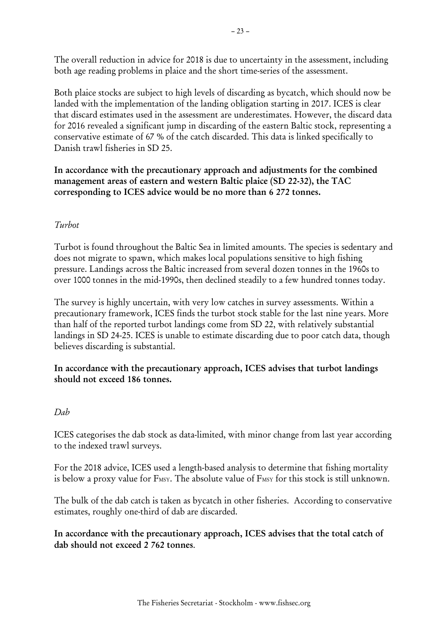The overall reduction in advice for 2018 is due to uncertainty in the assessment, including both age reading problems in plaice and the short time-series of the assessment.

Both plaice stocks are subject to high levels of discarding as bycatch, which should now be landed with the implementation of the landing obligation starting in 2017. ICES is clear that discard estimates used in the assessment are underestimates. However, the discard data for 2016 revealed a significant jump in discarding of the eastern Baltic stock, representing a conservative estimate of 67 % of the catch discarded. This data is linked specifically to Danish trawl fisheries in SD 25.

**In accordance with the precautionary approach and adjustments for the combined management areas of eastern and western Baltic plaice (SD 22-32), the TAC corresponding to ICES advice would be no more than 6 272 tonnes.** 

## <span id="page-22-0"></span>*Turbot*

Turbot is found throughout the Baltic Sea in limited amounts. The species is sedentary and does not migrate to spawn, which makes local populations sensitive to high fishing pressure. Landings across the Baltic increased from several dozen tonnes in the 1960s to over 1000 tonnes in the mid-1990s, then declined steadily to a few hundred tonnes today.

The survey is highly uncertain, with very low catches in survey assessments. Within a precautionary framework, ICES finds the turbot stock stable for the last nine years. More than half of the reported turbot landings come from SD 22, with relatively substantial landings in SD 24-25. ICES is unable to estimate discarding due to poor catch data, though believes discarding is substantial.

**In accordance with the precautionary approach, ICES advises that turbot landings should not exceed 186 tonnes.**

#### <span id="page-22-1"></span>*Dab*

ICES categorises the dab stock as data-limited, with minor change from last year according to the indexed trawl surveys.

For the 2018 advice, ICES used a length-based analysis to determine that fishing mortality is below a proxy value for F<sub>MSY</sub>. The absolute value of F<sub>MSY</sub> for this stock is still unknown.

The bulk of the dab catch is taken as bycatch in other fisheries. According to conservative estimates, roughly one-third of dab are discarded.

**In accordance with the precautionary approach, ICES advises that the total catch of dab should not exceed 2 762 tonnes**.